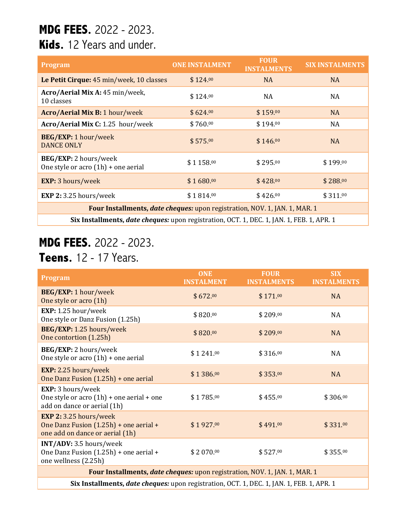## **MDG FEES.** 2022 - 2023.

### **Kids.** 12 Years and under.

| <b>Program</b>                                                                            | <b>ONE INSTALMENT</b> | <b>FOUR</b><br><b>INSTALMENTS</b> | <b>SIX INSTALMENTS</b> |  |
|-------------------------------------------------------------------------------------------|-----------------------|-----------------------------------|------------------------|--|
| Le Petit Cirque: 45 min/week, 10 classes                                                  | \$124.00              | <b>NA</b>                         | <b>NA</b>              |  |
| Acro/Aerial Mix A: 45 min/week,<br>10 classes                                             | \$124.00              | <b>NA</b>                         | NA                     |  |
| Acro/Aerial Mix B: 1 hour/week                                                            | \$624.00              | \$159.00                          | <b>NA</b>              |  |
| Acro/Aerial Mix C: 1.25 hour/week                                                         | \$760.00              | \$194.00                          | NA                     |  |
| BEG/EXP: 1 hour/week<br><b>DANCE ONLY</b>                                                 | \$575.00              | \$146.00                          | <b>NA</b>              |  |
| BEG/EXP: 2 hours/week<br>One style or acro (1h) + one aerial                              | \$1158.00             | \$295.00                          | \$199.00               |  |
| <b>EXP:</b> 3 hours/week                                                                  | \$1680.00             | \$428.00                          | \$288.00               |  |
| EXP 2: 3.25 hours/week                                                                    | \$1814.00             | \$426.00                          | \$311.00               |  |
| Four Installments, date cheques: upon registration, NOV. 1, JAN. 1, MAR. 1                |                       |                                   |                        |  |
| Six Installments, date cheques: upon registration, OCT. 1, DEC. 1, JAN. 1, FEB. 1, APR. 1 |                       |                                   |                        |  |

### **MDG FEES.** 2022 - 2023. **Teens.** 12 - 17 Years.

#### **Program** *ONE* **INSTALMENT FOUR INSTALMENTS SIX INSTALMENTS BEG/EXP:** 1 hour/week  $SO(2.00)$  SEG/EXT. Thour/week  $$672.00$  $$171.00$  $NA$ **EXP:** 1.25 hour/week  $\frac{1}{2}$  Changes 1.25 hours, we<br>Changes Changes (1.25h) \$820.00  $$209.00$  $NA$ **BEG/EXP:** 1.25 hours/week  $SO(100)$  SEG/EXT. 1.25 hours, week  $$820.00$ \$ 209.00  $NA$ **BEG/EXP:** 2 hours/week **SEG/EXI**: 2 hours/week  $$1\,241.00$ <br>One style or acro (1h) + one aerial  $$1\,241.00$  $$316.00$  $NA$ **EXP:** 2.25 hours/week  $\frac{2.23}{2.23}$  Hours, week<br>One Danz Fusion (1.25h) + one aerial  $$1\,386.00$  $$353.00$ NA **EXP:** 3 hours/week One style or acro  $(1h)$  + one aerial + one add on dance or aerial (1h) \$1785.00  $$455.00$  $$306.00$ **EXP 2:** 3.25 hours/week One Danz Fusion  $(1.25h)$  + one aerial + one add on dance or aerial (1h) \$1927.00  $$491.00$  $\text{331.00}$ **INT/ADV:** 3.5 hours/week One Danz Fusion  $(1.25h)$  + one aerial + one wellness (2.25h) \$ 2 070.00  $$527.00$ 00 \$ 355.00 Four Installments, *date cheques:* upon registration, NOV. 1, JAN. 1, MAR. 1

**Six Installments,** *date cheques:* upon registration, OCT. 1, DEC. 1, JAN. 1, FEB. 1, APR. 1